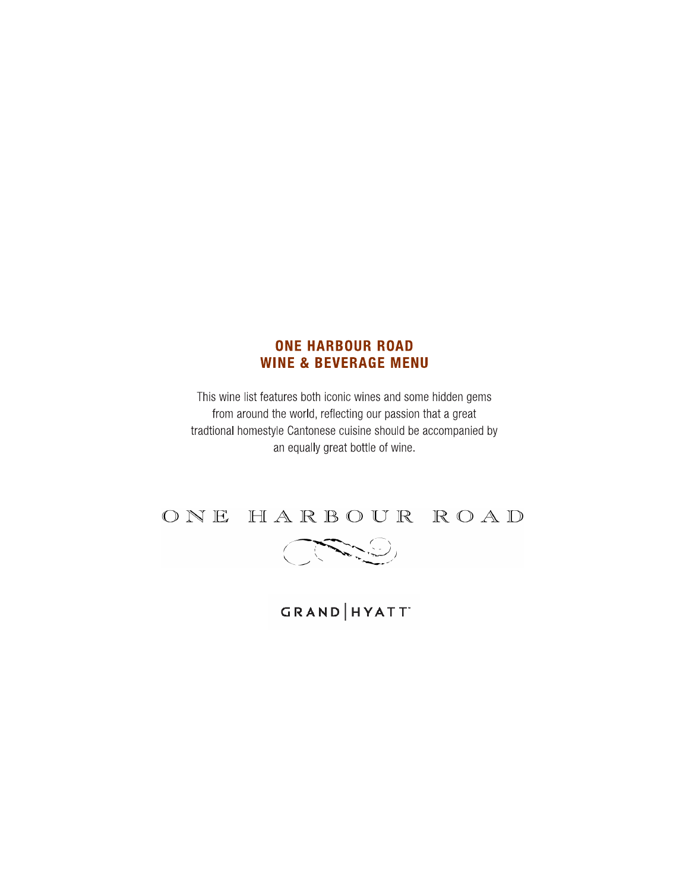## **ONE HARBOUR ROAD WINE & BEVERAGE MENU**

This wine list features both iconic wines and some hidden gems from around the world, reflecting our passion that a great tradtional homestyle Cantonese cuisine should be accompanied by an equally great bottle of wine.





GRAND | HYATT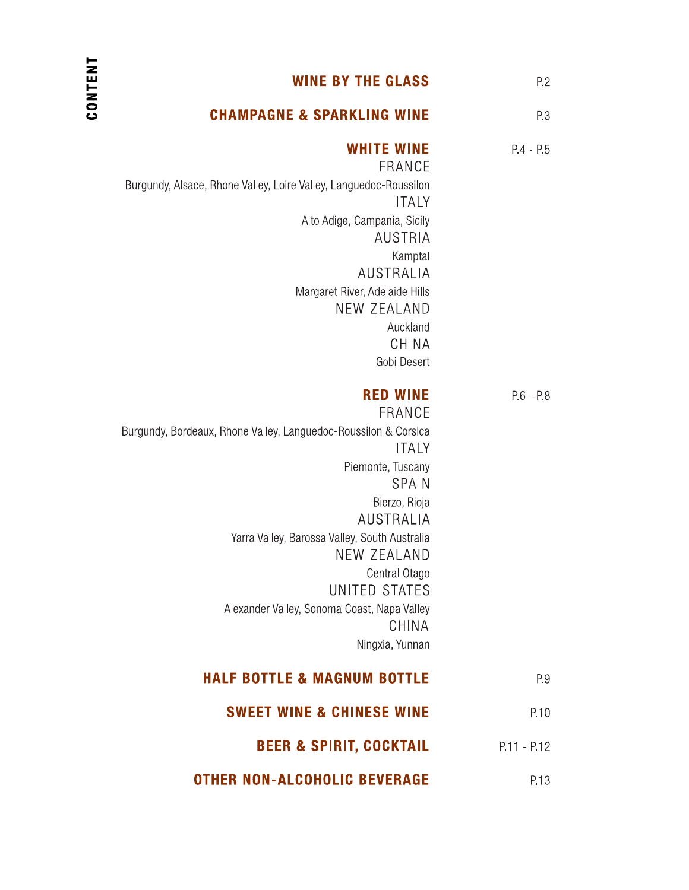| P.2           | <b>WINE BY THE GLASS</b>                                                                                                                                                                                                                                                                                                                                     |
|---------------|--------------------------------------------------------------------------------------------------------------------------------------------------------------------------------------------------------------------------------------------------------------------------------------------------------------------------------------------------------------|
| P.3           | <b>CHAMPAGNE &amp; SPARKLING WINE</b>                                                                                                                                                                                                                                                                                                                        |
| $P.4 - P.5$   | <b>WHITE WINE</b><br>FRANCE<br>Burgundy, Alsace, Rhone Valley, Loire Valley, Languedoc-Roussilon<br><b>ITALY</b><br>Alto Adige, Campania, Sicily<br><b>AUSTRIA</b><br>Kamptal<br>AUSTRALIA<br>Margaret River, Adelaide Hills<br>NEW ZEALAND<br>Auckland<br>CHINA<br>Gobi Desert                                                                              |
| $P.6 - P.8$   | <b>RED WINE</b><br>FRANCE<br>Burgundy, Bordeaux, Rhone Valley, Languedoc-Roussilon & Corsica<br><b>ITALY</b><br>Piemonte, Tuscany<br>SPAIN<br>Bierzo, Rioja<br>AUSTRALIA<br>Yarra Valley, Barossa Valley, South Australia<br><b>NEW ZEALAND</b><br>Central Otago<br>UNITED STATES<br>Alexander Valley, Sonoma Coast, Napa Valley<br>CHINA<br>Ningxia, Yunnan |
| P.9           | <b>HALF BOTTLE &amp; MAGNUM BOTTLE</b>                                                                                                                                                                                                                                                                                                                       |
| P.10          | <b>SWEET WINE &amp; CHINESE WINE</b>                                                                                                                                                                                                                                                                                                                         |
| $P.11 - P.12$ | <b>BEER &amp; SPIRIT, COCKTAIL</b>                                                                                                                                                                                                                                                                                                                           |
| P.13          | <b>OTHER NON-ALCOHOLIC BEVERAGE</b>                                                                                                                                                                                                                                                                                                                          |

CONTENT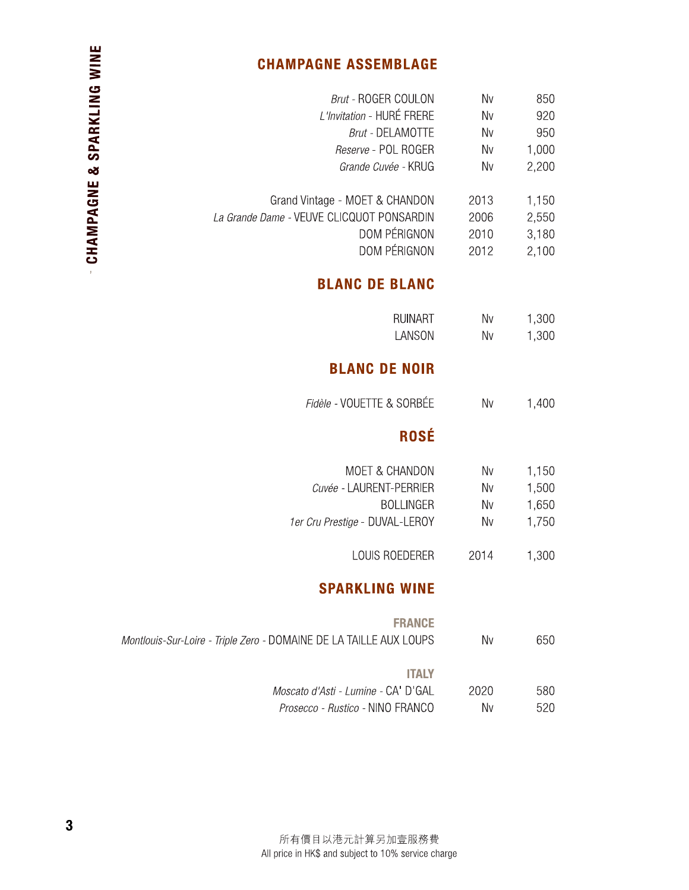# **CHAMPAGNE ASSEMBLAGE**

| <b>Brut - ROGER COULON</b>                | Nv        | 850   |
|-------------------------------------------|-----------|-------|
| L'Invitation - HURÉ FRERE                 | Nv        | 920   |
| <b>Brut - DELAMOTTE</b>                   | Nv        | 950   |
| Reserve - POL ROGER                       | <b>Nv</b> | 1,000 |
| Grande Cuvée - KRUG                       | Nv        | 2,200 |
|                                           |           |       |
| Grand Vintage - MOET & CHANDON            | 2013      | 1,150 |
| La Grande Dame - VEUVE CLICQUOT PONSARDIN | 2006      | 2,550 |
| DOM PÉRIGNON                              | 2010      | 3,180 |
| DOM PÉRIGNON                              | 2012      | 2,100 |

# **BLANC DE BLANC**

| RUINART | Nv | 1,300 |
|---------|----|-------|
| LANSON  | Nv | 1,300 |

# **BLANC DE NOIR**

| Fidèle - VOUETTE & SORBÉE | Nv | 1.400 |
|---------------------------|----|-------|
|                           |    |       |

# **ROSÉ**

| MOET & CHANDON                 | Nv | 1,150 |
|--------------------------------|----|-------|
| Cuvée - LAURENT-PERRIER        | Nv | 1,500 |
| BOLLINGER                      | Nv | 1,650 |
| 1er Cru Prestige - DUVAL-LEROY | Nv | 1,750 |
|                                |    |       |

2014 1,300 LOUIS ROEDERER

# **SPARKLING WINE**

| <b>FRANCE</b><br>Montlouis-Sur-Loire - Triple Zero - DOMAINE DE LA TAILLE AUX LOUPS | Nv   | 650 |
|-------------------------------------------------------------------------------------|------|-----|
| <b>ITALY</b>                                                                        |      |     |
| Moscato d'Asti - Lumine - CA' D'GAL                                                 | 2020 | 580 |
| <i>Prosecco - Rustico -</i> NINO FRANCO                                             | Nv   | 520 |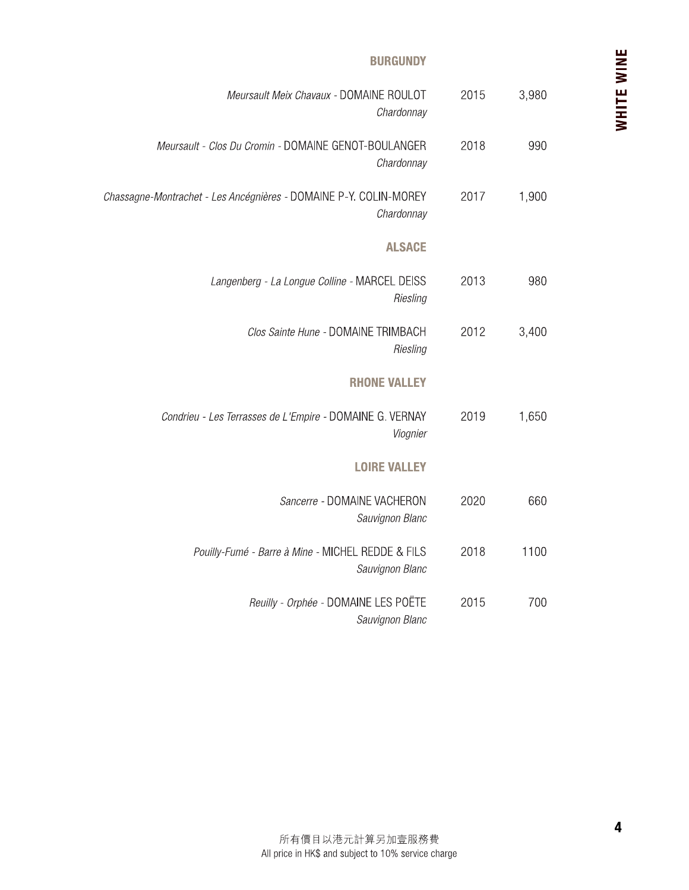#### **BURGUNDY**

|            |       |      | <b>BURGUNDY</b>                                                                 |
|------------|-------|------|---------------------------------------------------------------------------------|
| WHITE WINE | 3,980 | 2015 | Meursault Meix Chavaux - DOMAINE ROULOT<br>Chardonnay                           |
|            | 990   | 2018 | Meursault - Clos Du Cromin - DOMAINE GENOT-BOULANGER<br>Chardonnay              |
|            | 1,900 | 2017 | Chassagne-Montrachet - Les Ancégnières - DOMAINE P-Y. COLIN-MOREY<br>Chardonnay |
|            |       |      | <b>ALSACE</b>                                                                   |
|            | 980   | 2013 | Langenberg - La Longue Colline - MARCEL DEISS<br>Riesling                       |
|            | 3,400 | 2012 | Clos Sainte Hune - DOMAINE TRIMBACH<br>Riesling                                 |
|            |       |      | <b>RHONE VALLEY</b>                                                             |
|            | 1,650 | 2019 | Condrieu - Les Terrasses de L'Empire - DOMAINE G. VERNAY<br>Viognier            |
|            |       |      | <b>LOIRE VALLEY</b>                                                             |
|            | 660   | 2020 | Sancerre - DOMAINE VACHERON<br>Sauvignon Blanc                                  |
|            | 1100  | 2018 | Pouilly-Fumé - Barre à Mine - MICHEL REDDE & FILS<br>Sauvignon Blanc            |
|            | 700   | 2015 | Reuilly - Orphée - DOMAINE LES POËTE<br>Sauvignon Blanc                         |
|            |       |      |                                                                                 |
|            |       |      |                                                                                 |
|            |       |      |                                                                                 |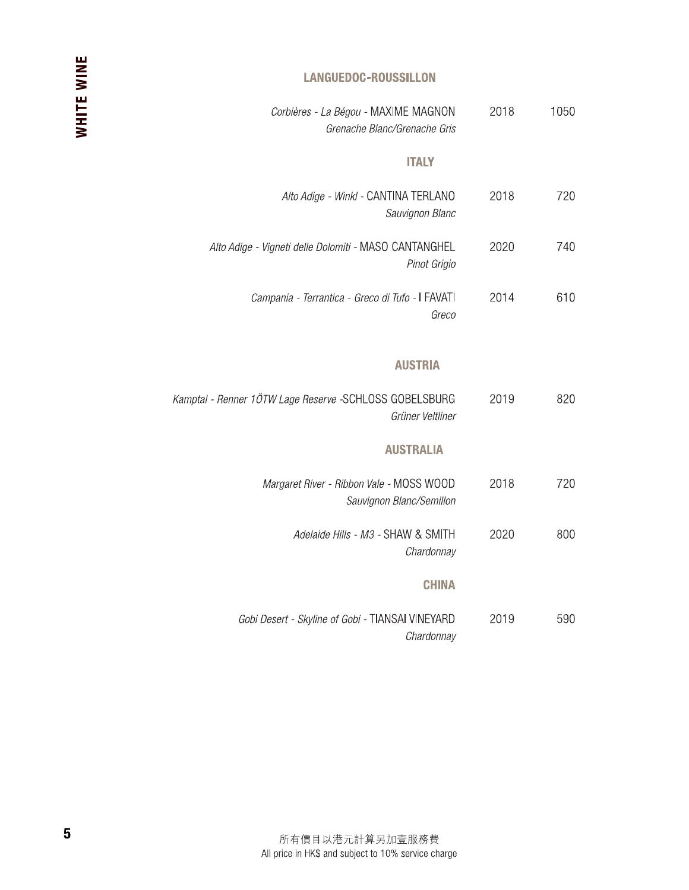### LANGUEDOC-ROUSSILLON

| 2018 | Corbières - La Bégou - MAXIME MAGNON                    |
|------|---------------------------------------------------------|
| 1050 | Grenache Blanc/Grenache Gris                            |
|      | <b>ITALY</b>                                            |
| 2018 | Alto Adige - Winkl - CANTINA TERLANO                    |
| 720  | Sauvignon Blanc                                         |
| 740  | Alto Adige - Vigneti delle Dolomiti - MASO CANTANGHEL   |
| 2020 | Pinot Grigio                                            |
| 2014 | Campania - Terrantica - Greco di Tufo - I FAVATI        |
| 610  | Greco                                                   |
|      | <b>AUSTRIA</b>                                          |
| 2019 | Kamptal - Renner 1ÖTW Lage Reserve - SCHLOSS GOBELSBURG |
| 820  | Grüner Veltliner                                        |
|      | <b>AUSTRALIA</b>                                        |
| 720  | Margaret River - Ribbon Vale - MOSS WOOD                |
| 2018 | Sauvignon Blanc/Semillon                                |
| 2020 | Adelaide Hills - M3 - SHAW & SMITH                      |
| 800  | Chardonnay                                              |
|      | <b>CHINA</b>                                            |
| 590  | Gobi Desert - Skyline of Gobi - TIANSAI VINEYARD        |
| 2019 | Chardonnay                                              |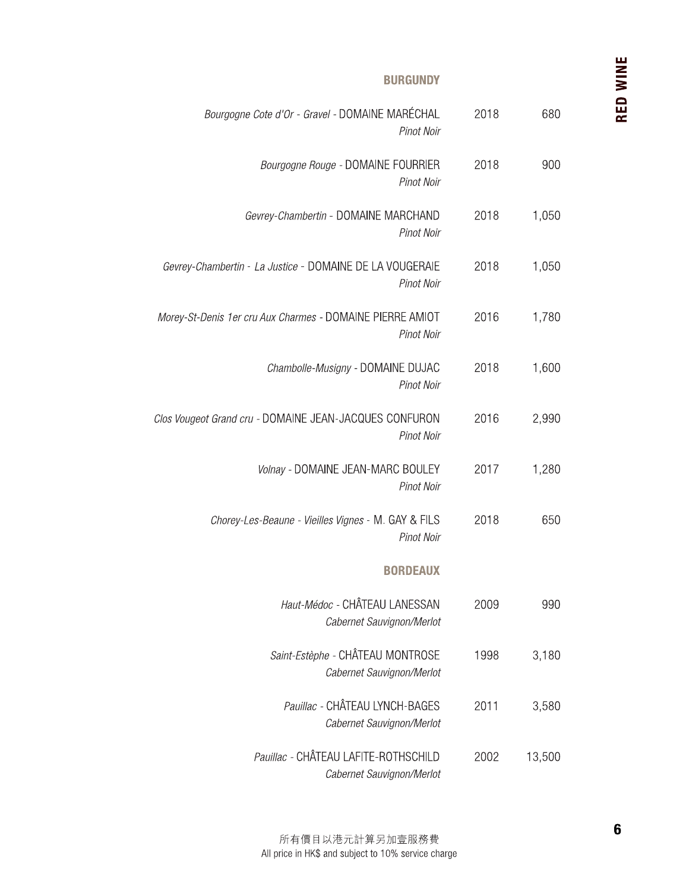#### **BURGUNDY**

| Bourgogne Cote d'Or - Gravel - DOMAINE MARÉCHAL<br>Pinot Noir            | 2018 | 680    |
|--------------------------------------------------------------------------|------|--------|
| Bourgogne Rouge - DOMAINE FOURRIER<br>Pinot Noir                         | 2018 | 900    |
| Gevrey-Chambertin - DOMAINE MARCHAND<br>Pinot Noir                       | 2018 | 1,050  |
| Gevrey-Chambertin - La Justice - DOMAINE DE LA VOUGERAIE<br>Pinot Noir   | 2018 | 1,050  |
| Morey-St-Denis 1er cru Aux Charmes - DOMAINE PIERRE AMIOT<br>Pinot Noir  | 2016 | 1,780  |
| Chambolle-Musigny - DOMAINE DUJAC<br>Pinot Noir                          | 2018 | 1,600  |
| Clos Vougeot Grand cru - DOMAINE JEAN-JACQUES CONFURON<br>Pinot Noir     | 2016 | 2,990  |
| Volnay - DOMAINE JEAN-MARC BOULEY<br>Pinot Noir                          | 2017 | 1,280  |
| Chorey-Les-Beaune - Vieilles Vignes - M. GAY & FILS<br><b>Pinot Noir</b> | 2018 | 650    |
| <b>BORDEAUX</b>                                                          |      |        |
| Haut-Médoc - CHÂTEAU LANESSAN<br>Cabernet Sauvignon/Merlot               | 2009 | 990    |
| Saint-Estèphe - CHÂTEAU MONTROSE<br>Cabernet Sauvignon/Merlot            | 1998 | 3,180  |
| Pauillac - CHÂTEAU LYNCH-BAGES<br>Cabernet Sauvignon/Merlot              | 2011 | 3,580  |
| Pauillac - CHÂTEAU LAFITE-ROTHSCHILD<br>Cabernet Sauvignon/Merlot        | 2002 | 13,500 |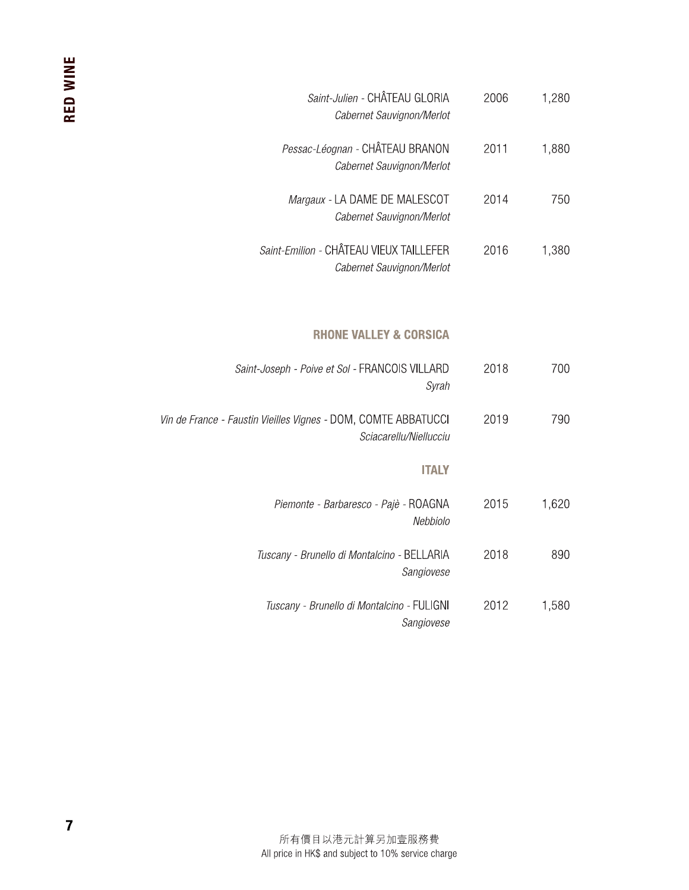| Saint-Julien - CHÂTEAU GLORIA<br>Cabernet Sauvignon/Merlot                  | 2006 | 1,280 |
|-----------------------------------------------------------------------------|------|-------|
| Pessac-Léognan - CHÂTEAU BRANON<br>Cabernet Sauvignon/Merlot                | 2011 | 1,880 |
| Margaux - LA DAME DE MALESCOT<br>Cabernet Sauvignon/Merlot                  | 2014 | 750   |
| <i>Saint-Emilion -</i> CHÂTEAU VIEUX TAILLEFER<br>Cabernet Sauvignon/Merlot | 2016 | 1,380 |

### **RHONE VALLEY & CORSICA**

| 2018<br>700<br>Syrah      | Saint-Joseph - Poive et Sol - FRANCOIS VILLARD                 |
|---------------------------|----------------------------------------------------------------|
| 2019                      | Vin de France - Faustin Vieilles Vignes - DOM, COMTE ABBATUCCI |
| 790                       | Sciacarellu/Niellucciu                                         |
| ITALY                     |                                                                |
| 1,620<br>2015<br>Nebbiolo | Piemonte - Barbaresco - Pajè - ROAGNA                          |
| 2018                      | <i>Tuscany - Brunello di Montalcino -</i> BELLARIA             |
| 890                       | Sangiovese                                                     |
| 2012                      | Tuscany - Brunello di Montalcino - FULIGNI                     |
| 1,580                     | Sangiovese                                                     |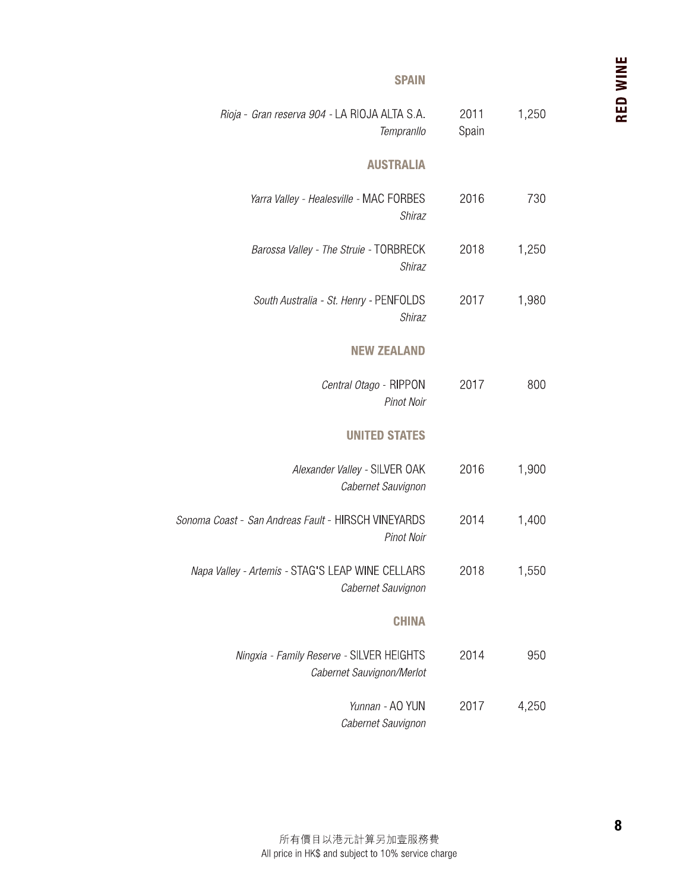#### **SPAIN**

| 1,250 | 2011<br>Spain | Rioja - Gran reserva 904 - LA RIOJA ALTA S.A.<br>Tempranllo            |
|-------|---------------|------------------------------------------------------------------------|
|       |               | <b>AUSTRALIA</b>                                                       |
| 730   | 2016          | Yarra Valley - Healesville - MAC FORBES<br>Shiraz                      |
| 1,250 | 2018          | Barossa Valley - The Struie - TORBRECK<br>Shiraz                       |
| 1,980 | 2017          | South Australia - St. Henry - PENFOLDS<br>Shiraz                       |
|       |               | <b>NEW ZEALAND</b>                                                     |
| 800   | 2017          | Central Otago - RIPPON<br>Pinot Noir                                   |
|       |               | <b>UNITED STATES</b>                                                   |
| 1,900 | 2016          | Alexander Valley - SILVER OAK<br>Cabernet Sauvignon                    |
| 1,400 | 2014          | Sonoma Coast - San Andreas Fault - HIRSCH VINEYARDS<br>Pinot Noir      |
| 1,550 | 2018          | Napa Valley - Artemis - STAG'S LEAP WINE CELLARS<br>Cabernet Sauvignon |
|       |               | <b>CHINA</b>                                                           |
| 950   | 2014          | Ningxia - Family Reserve - SILVER HEIGHTS<br>Cabernet Sauvignon/Merlot |
| 4,250 | 2017          | Yunnan - AO YUN<br>Cabernet Sauvignon                                  |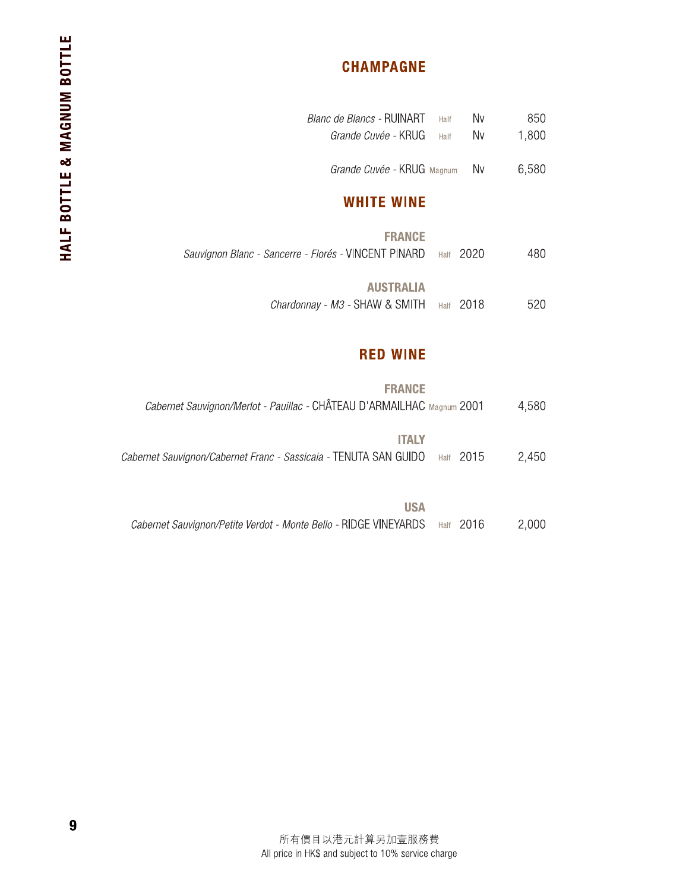# **CHAMPAGNE**

| Blanc de Blancs - RUINART                            | Half | Nv   | 850   |
|------------------------------------------------------|------|------|-------|
| <i>Grande Cuvée -</i> KRUG                           | Half | Nv   | 1,800 |
| Grande Cuvée - KRUG Magnum                           |      | Nv   | 6,580 |
| <b>WHITE WINE</b>                                    |      |      |       |
| <b>FRANCE</b>                                        |      |      |       |
| Sauvignon Blanc - Sancerre - Florés - VINCENT PINARD | Half | 2020 | 480   |
| <b>AUSTRALIA</b>                                     |      |      |       |
| Chardonnay - M3 - SHAW & SMITH                       | Half | 2018 | 520   |

#### **RED WINE**

| <b>FRANCE</b>                                                              |       |  |
|----------------------------------------------------------------------------|-------|--|
| Cabernet Sauvignon/Merlot - Pauillac - CHÂTEAU D'ARMAILHAC Magnum 2001     | 4.580 |  |
|                                                                            |       |  |
| ITALY                                                                      |       |  |
| Cabernet Sauvignon/Cabernet Franc - Sassicaia - TENUTA SAN GUIDO Half 2015 | 2.450 |  |

| <b>USA</b>                                                                 |       |
|----------------------------------------------------------------------------|-------|
| Cabernet Sauvignon/Petite Verdot - Monte Bello - RIDGE VINEYARDS Half 2016 | 2,000 |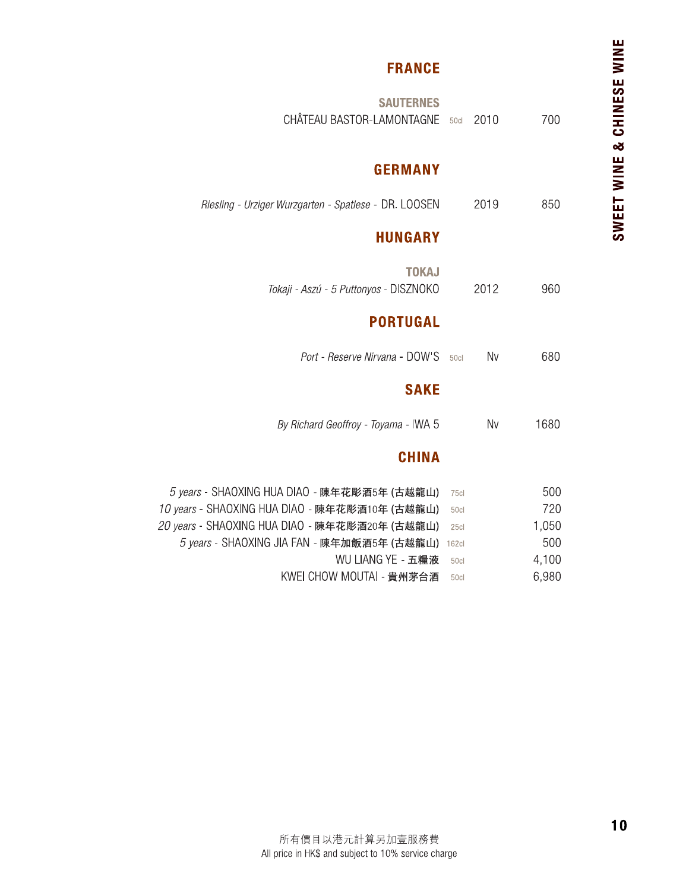# **FRANCE**

| 700        | 2010 | 50c          | <b>SAUTERNES</b><br>CHÂTEAU BASTOR-LAMONTAGNE                                                  |
|------------|------|--------------|------------------------------------------------------------------------------------------------|
|            |      |              | <b>GERMANY</b>                                                                                 |
| 850        | 2019 |              | Riesling - Urziger Wurzgarten - Spatlese - DR. LOOSEN                                          |
|            |      |              | <b>HUNGARY</b>                                                                                 |
| 960        | 2012 |              | <b>TOKAJ</b><br>Tokaji - Aszú - 5 Puttonyos - DISZNOKO                                         |
|            |      |              | <b>PORTUGAL</b>                                                                                |
| 680        | Nv   | 50cl         | Port - Reserve Nirvana - DOW'S                                                                 |
|            |      |              | <b>SAKE</b>                                                                                    |
| 1680       | Nv   |              | By Richard Geoffroy - Toyama - IWA 5                                                           |
|            |      |              | <b>CHINA</b>                                                                                   |
| 500<br>720 |      | 75cl<br>50cl | 5 years - SHAOXING HUA DIAO - 陳年花彫酒5年 (古越龍山)<br>10 years - SHAOXING HUA DIAO - 陳年花彫酒10年 (古越龍山) |
| 1,050      |      | 25cl         | 20 years - SHAOXING HUA DIAO - 陳年花彫酒20年 (古越龍山)                                                 |
| 500        |      | 162c         | 5 years - SHAOXING JIA FAN - 陳年加飯酒5年 (古越龍山)                                                    |
| 4,100      |      | 50cl         | WU LIANG YE - 五糧液                                                                              |
| 6,980      |      | 50cl         | KWEI CHOW MOUTAI - 貴州茅台酒                                                                       |